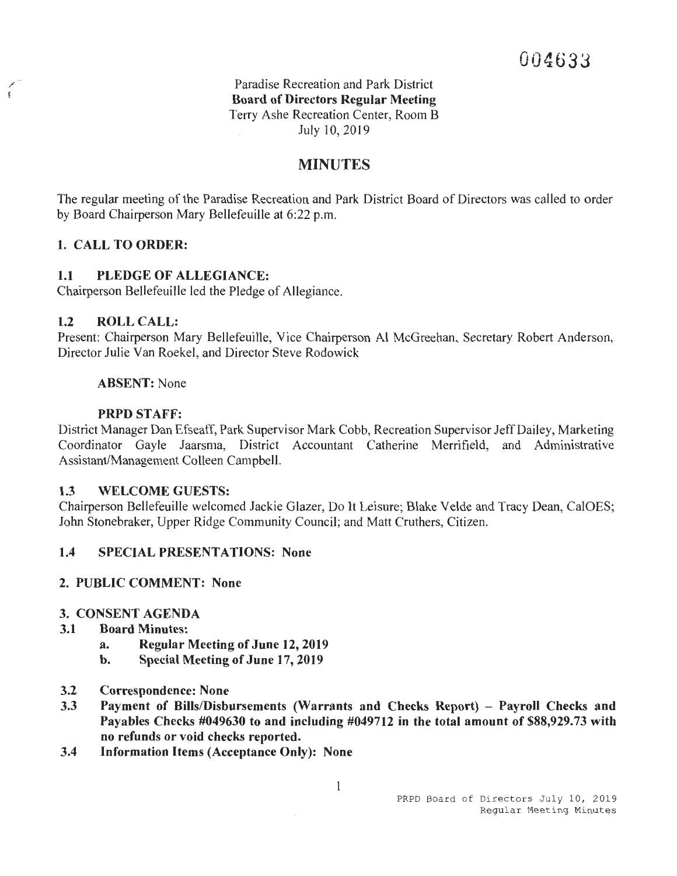Paradise Recreation and Park District **Board of Directors Regular Meeting**  Terry Ashe Recreation Center, Room B July 10, 2019

# **MINUTES**

The regular meeting of the Paradise Recreation and Park District Board of Directors was called to order by Board Chairperson Mary Bellefeuille at 6:22 p.m.

# **1. CALL TO ORDER:**

## **1.1 PLEDGE OF ALLEGIANCE:**

Chairperson Bellefeuille led the Pledge of Allegiance.

#### **1.2 ROLL CALL:**

Present: Chairperson Mary Bellefeuille, Vice Chairperson Al McGreehan, Secretary Robert Anderson, Director Julie Van Roekel, and Director Steve Rodowick

#### **ABSENT:** None

#### **PRPD STAFF:**

District Manager Dan Efseaff, Park Supervisor Mark Cobb, Recreation Supervisor Jeff Dailey, Marketing Coordinator Gayle Jaarsma, District Accountant Catherine Merrifield, and Administrative Assistant/Management Colleen Campbell.

#### **1.3 WELCOME GUESTS:**

Chairperson Bellefeuille welcomed Jackie Glazer, Do It Leisure; Blake Velde and Tracy Dean, CalOES; John Stonebraker, Upper Ridge Community Council; and Matt Cruthers, Citizen.

# **1.4 SPECIAL PRESENTATIONS: None**

#### **2. PUBLIC COMMENT: None**

#### **3. CONSENT AGENDA**

- **3.1 Board Minutes:** 
	- **a. Regular Meeting of June 12, 2019**
	- **b. Special Meeting of June 17, 2019**
- **3.2 Correspondence: None**
- **3.3** Payment of Bills/Disbursements (Warrants and Checks Report) Payroll Checks and **Payables Checks #049630 to and including #049712 in the total amount of \$88,929.73 with no refunds or void checks reported.**
- **3.4 Information Items (Acceptance Only): None**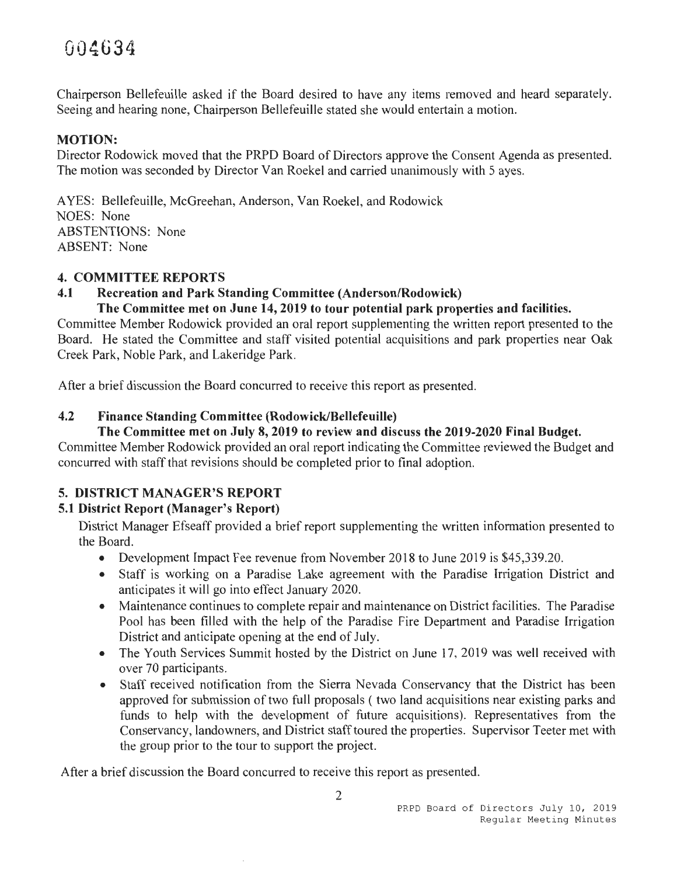# *<sup>r</sup> .* 0 *Al:* **3** 4•· **<sup>U</sup> <sup>1</sup>'iv** ·

Chairperson Bellefeuille asked if the Board desired to have any items removed and heard separately. Seeing and hearing none, Chairperson Bellefeuille stated she would entertain a motion.

# **MOTION:**

Director Rodowick moved that the PRPD Board of Directors approve the Consent Agenda as presented. The motion was seconded by Director Van Roekel and carried unanimously with 5 ayes.

A YES: Bellefeuille, McGreehan, Anderson, Van Roekel, and Rodowick NOES: None ABSTENTIONS: None ABSENT: None

## **4. COMMITTEE REPORTS**

# **4.1 Recreation and Park Standing Committee (Anderson/Rodowick)**

**The Committee met on June 14, 2019 to tour potential park properties and facilities.** 

Committee Member Rodowick provided an oral report supplementing the written report presented to the Board. He stated the Committee and staff visited potential acquisitions and park properties near Oak Creek Park, Noble Park, and Lakeridge Park.

After a brief discussion the Board concurred to receive this report as presented.

# **4.2 Finance Standing Committee (Rodowick/Bellefeuille)**

## **The Committee met on July 8, 2019 to review and discuss the 2019-2020 Final Budget.**

Committee Member Rodowick provided an oral report indicating the Committee reviewed the Budget and concurred with staff that revisions should be completed prior to final adoption.

# **5. DISTRICT MANAGER'S REPORT**

# **5.1 District Report (Manager's Report)**

District Manager Efseaff provided a brief report supplementing the written information presented to the Board.

- Development Impact Fee revenue from November 2018 to June 2019 is \$45,339.20.
- Staff is working on a Paradise Lake agreement with the Paradise Irrigation District and anticipates it will go into effect January 2020.
- Maintenance continues to complete repair and maintenance on District facilities. The Paradise Pool has been filled with the help of the Paradise Fire Department and Paradise Irrigation District and anticipate opening at the end of July.
- The Youth Services Summit hosted by the District on June 17, 2019 was well received with over 70 participants.
- Staff received notification from the Sierra Nevada Conservancy that the District has been approved for submission of two full proposals ( two land acquisitions near existing parks and funds to help with the development of future acquisitions). Representatives from the Conservancy, landowners, and District staff toured the properties. Supervisor Teeter met with the group prior to the tour to support the project.

After a brief discussion the Board concurred to receive this report as presented.

2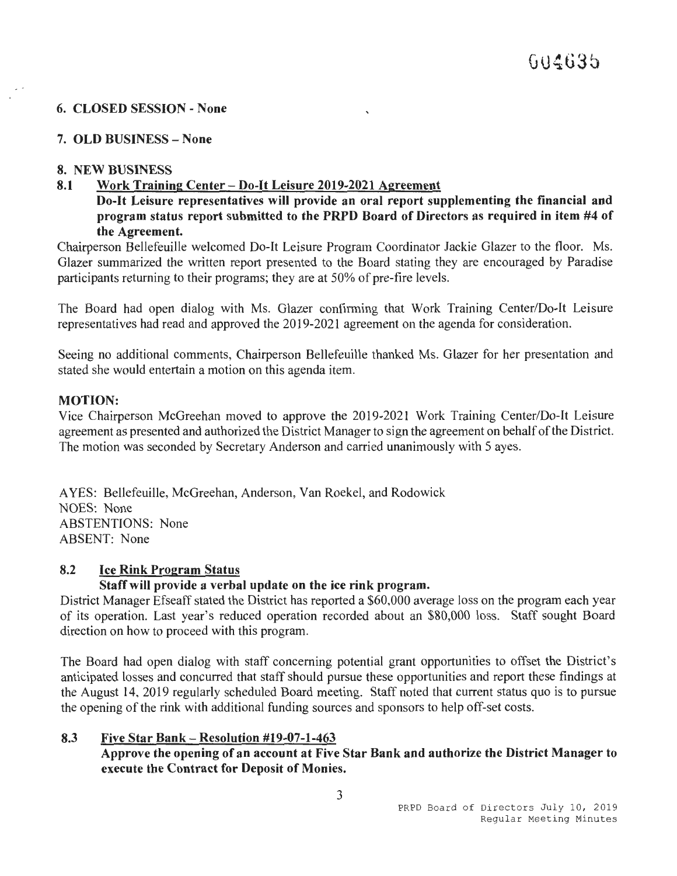## **6. CLOSED SESSION - None**

## **7. OLD BUSINESS-None**

## **8. NEW BUSINESS**

## **8.1 Work Training Center - Do-It Leisure 2019-2021 Agreement**

**Do-It Leisure representatives will provide an oral report supplementing the financial and program status report submitted to the PRPD Board of Directors as required in item #4 of the Agreement.** 

Chairperson Bellefeuille welcomed Do-It Leisure Program Coordinator Jackie Glazer to the floor. Ms. Glazer summarized the written report presented to the Board stating they are encouraged by Paradise participants returning to their programs; they are at 50% of pre-fire levels.

The Board had open dialog with Ms. Glazer confirming that Work Training Center/Do-It Leisure representatives had read and approved the 2019-2021 agreement on the agenda for consideration.

Seeing no additional comments, Chairperson Bellefeuille thanked Ms. Glazer for her presentation and stated she would entertain a motion on this agenda item.

#### **MOTION:**

Vice Chairperson McGreehan moved to approve the 2019-2021 Work Training Center/Do-It Leisure agreement as presented and authorized the District Manager to sign the agreement on behalf of the District. The motion was seconded by Secretary Anderson and carried unanimously with 5 ayes.

A YES: Bellefeuille, McGreehan, Anderson, Van Roekel, and Rodowick NOES: None ABSTENTIONS: None ABSENT: None

## **8.2 Ice Rink Program Status**

# **Staff will provide a verbal update on the ice rink program.**

District Manager Efseaff stated the District has reported a \$60,000 average loss on the program each year of its operation. Last year's reduced operation recorded about an \$80,000 loss. Staff sought Board direction on how to proceed with this program.

The Board had open dialog with staff concerning potential grant opportunities to offset the District's anticipated losses and concurred that staff should pursue these opportunities and report these findings at the August 14, 2019 regularly scheduled Board meeting. Staff noted that current status quo is to pursue the opening of the rink with additional funding sources and sponsors to help off-set costs.

## **8.3 Five Star Bank- Resolution #19-07-1-463 Approve the opening of an account at Five Star Bank and authorize the District Manager to execute the Contract for Deposit of Monies.**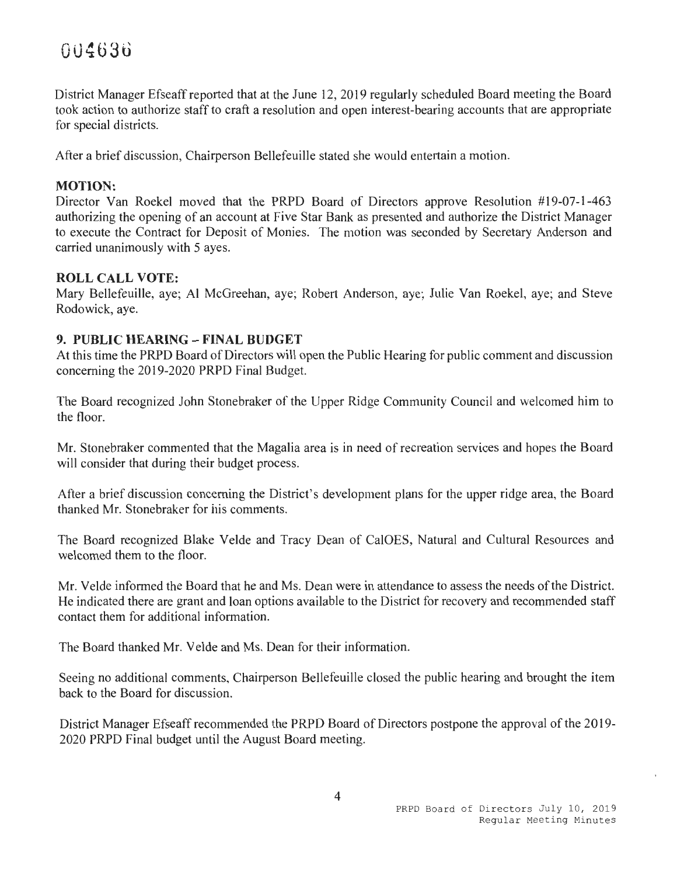District Manager Efseaff reported that at the June 12, 2019 regularly scheduled Board meeting the Board took action to authorize staff to craft a resolution and open interest-bearing accounts that are appropriate for special districts.

After a brief discussion, Chairperson Bellefeuille stated she would entertain a motion.

## **MOTION:**

Director Van Roekel moved that the PRPD Board of Directors approve Resolution #19-07-1-463 authorizing the opening of an account at Five Star Bank as presented and authorize the District Manager to execute the Contract for Deposit of Monies. The motion was seconded by Secretary Anderson and carried unanimously with 5 ayes.

## **ROLL CALL VOTE:**

Mary Bellefeuille, aye; Al McGreehan, aye; Robert Anderson, aye; Julie Van Roekel, aye; and Steve Rodowick, aye.

## **9. PUBLIC HEARING-FINAL BUDGET**

At this time the PRPD Board of Directors will open the Public Hearing for public comment and discussion concerning the 2019-2020 PRPD Final Budget.

The Board recognized John Stonebraker of the Upper Ridge Community Council and welcomed him to the floor.

Mr. Stonebraker commented that the Magalia area is in need of recreation services and hopes the Board will consider that during their budget process.

After a brief discussion concerning the District's development plans for the upper ridge area, the Board thanked Mr. Stonebraker for his comments.

The Board recognized Blake Velde and Tracy Dean of CalOES, Natural and Cultural Resources and welcomed them to the floor.

Mr. Velde informed the Board that he and Ms. Dean were in attendance to assess the needs of the District. He indicated there are grant and loan options available to the District for recovery and recommended staff contact them for additional information.

The Board thanked Mr. Velde and Ms. Dean for their information.

Seeing no additional comments, Chairperson Bellefeuille closed the public hearing and brought the item back to the Board for discussion.

District Manager Efseaff recommended the PRPD Board of Directors postpone the approval of the 2019- 2020 PRPD Final budget until the August Board meeting.